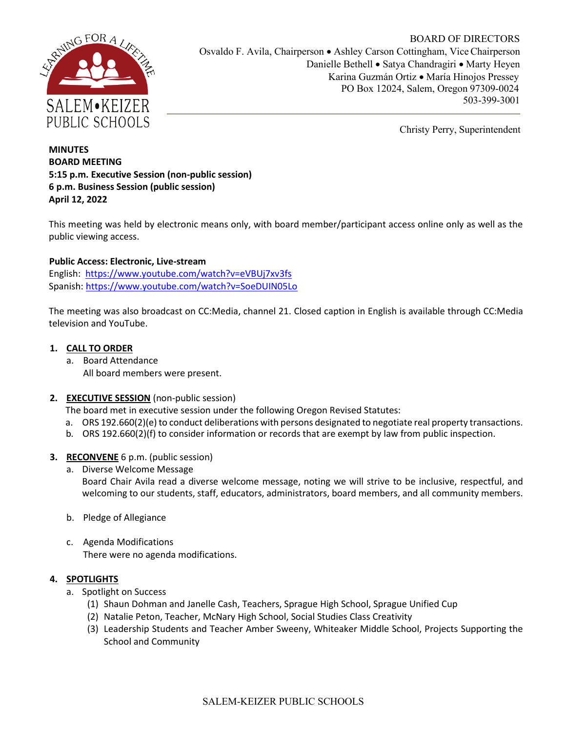

BOARD OF DIRECTORS Osvaldo F. Avila, Chairperson • Ashley Carson Cottingham, Vice Chairperson Danielle Bethell • Satya Chandragiri • Marty Heyen Karina Guzmán Ortiz • María Hinojos Pressey PO Box 12024, Salem, Oregon 97309-0024 503-399-3001

Christy Perry, Superintendent

## **MINUTES BOARD MEETING 5:15 p.m. Executive Session (non-public session) 6 p.m. Business Session (public session) April 12, 2022**

This meeting was held by electronic means only, with board member/participant access online only as well as the public viewing access.

# **Public Access: Electronic, Live-stream**

English: <https://www.youtube.com/watch?v=eVBUj7xv3fs> Spanish: [https://www.youtube.com/watch?v=SoeDUIN05Lo](https://nam02.safelinks.protection.outlook.com/?url=https%3A%2F%2Fwww.youtube.com%2Fwatch%3Fv%3DSoeDUIN05Lo&data=04%7C01%7Cstruckmeier_alice%40salkeiz.k12.or.us%7Caf01d20a42994967924b08da090313a8%7C4576c5d9511647a380c9cc3eee950210%7C0%7C0%7C637832206073189956%7CUnknown%7CTWFpbGZsb3d8eyJWIjoiMC4wLjAwMDAiLCJQIjoiV2luMzIiLCJBTiI6Ik1haWwiLCJXVCI6Mn0%3D%7C3000&sdata=L6b1cnJWoGdDzduN4cv8RO0QNkWCnGwBN8%2FpsTPlT6M%3D&reserved=0)

The meeting was also broadcast on CC:Media, channel 21. Closed caption in English is available through CC:Media television and YouTube.

## **1. CALL TO ORDER**

a. Board Attendance All board members were present.

# **2. EXECUTIVE SESSION** (non-public session)

The board met in executive session under the following Oregon Revised Statutes:

- a. ORS 192.660(2)(e) to conduct deliberations with persons designated to negotiate real property transactions.
- b. ORS 192.660(2)(f) to consider information or records that are exempt by law from public inspection.

# **3. RECONVENE** 6 p.m. (public session)

- a. Diverse Welcome Message Board Chair Avila read a diverse welcome message, noting we will strive to be inclusive, respectful, and welcoming to our students, staff, educators, administrators, board members, and all community members.
- b. Pledge of Allegiance
- c. Agenda Modifications There were no agenda modifications.

### **4. SPOTLIGHTS**

- a. Spotlight on Success
	- (1) Shaun Dohman and Janelle Cash, Teachers, Sprague High School, Sprague Unified Cup
	- (2) Natalie Peton, Teacher, McNary High School, Social Studies Class Creativity
	- (3) Leadership Students and Teacher Amber Sweeny, Whiteaker Middle School, Projects Supporting the School and Community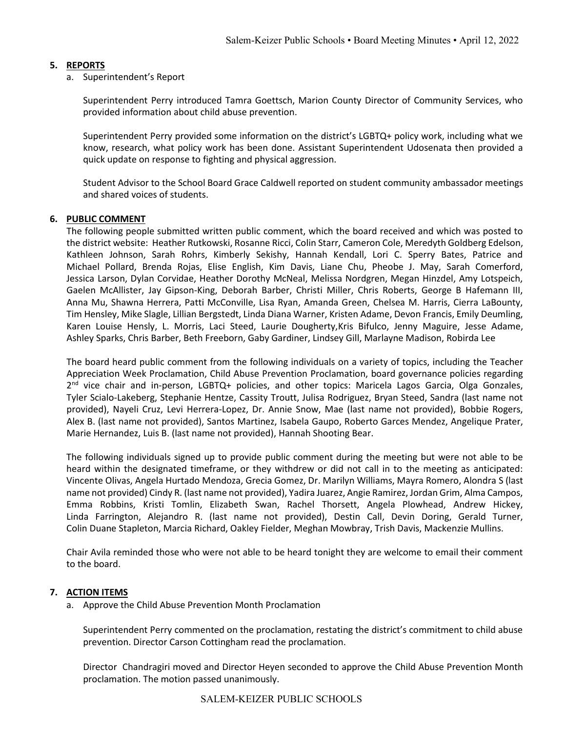## **5. REPORTS**

a. Superintendent's Report

Superintendent Perry introduced Tamra Goettsch, Marion County Director of Community Services, who provided information about child abuse prevention.

Superintendent Perry provided some information on the district's LGBTQ+ policy work, including what we know, research, what policy work has been done. Assistant Superintendent Udosenata then provided a quick update on response to fighting and physical aggression.

Student Advisor to the School Board Grace Caldwell reported on student community ambassador meetings and shared voices of students.

### **6. PUBLIC COMMENT**

The following people submitted written public comment, which the board received and which was posted to the district website: Heather Rutkowski, Rosanne Ricci, Colin Starr, Cameron Cole, Meredyth Goldberg Edelson, Kathleen Johnson, Sarah Rohrs, Kimberly Sekishy, Hannah Kendall, Lori C. Sperry Bates, Patrice and Michael Pollard, Brenda Rojas, Elise English, Kim Davis, Liane Chu, Pheobe J. May, Sarah Comerford, Jessica Larson, Dylan Corvidae, Heather Dorothy McNeal, Melissa Nordgren, Megan Hinzdel, Amy Lotspeich, Gaelen McAllister, Jay Gipson-King, Deborah Barber, Christi Miller, Chris Roberts, George B Hafemann III, Anna Mu, Shawna Herrera, Patti McConville, Lisa Ryan, Amanda Green, Chelsea M. Harris, Cierra LaBounty, Tim Hensley, Mike Slagle, Lillian Bergstedt, Linda Diana Warner, Kristen Adame, Devon Francis, Emily Deumling, Karen Louise Hensly, L. Morris, Laci Steed, Laurie Dougherty,Kris Bifulco, Jenny Maguire, Jesse Adame, Ashley Sparks, Chris Barber, Beth Freeborn, Gaby Gardiner, Lindsey Gill, Marlayne Madison, Robirda Lee

The board heard public comment from the following individuals on a variety of topics, including the Teacher Appreciation Week Proclamation, Child Abuse Prevention Proclamation, board governance policies regarding 2<sup>nd</sup> vice chair and in-person, LGBTQ+ policies, and other topics: Maricela Lagos Garcia, Olga Gonzales, Tyler Scialo-Lakeberg, Stephanie Hentze, Cassity Troutt, Julisa Rodriguez, Bryan Steed, Sandra (last name not provided), Nayeli Cruz, Levi Herrera-Lopez, Dr. Annie Snow, Mae (last name not provided), Bobbie Rogers, Alex B. (last name not provided), Santos Martinez, Isabela Gaupo, Roberto Garces Mendez, Angelique Prater, Marie Hernandez, Luis B. (last name not provided), Hannah Shooting Bear.

The following individuals signed up to provide public comment during the meeting but were not able to be heard within the designated timeframe, or they withdrew or did not call in to the meeting as anticipated: Vincente Olivas, Angela Hurtado Mendoza, Grecia Gomez, Dr. Marilyn Williams, Mayra Romero, Alondra S (last name not provided) Cindy R. (last name not provided), Yadira Juarez, Angie Ramirez, Jordan Grim, Alma Campos, Emma Robbins, Kristi Tomlin, Elizabeth Swan, Rachel Thorsett, Angela Plowhead, Andrew Hickey, Linda Farrington, Alejandro R. (last name not provided), Destin Call, Devin Doring, Gerald Turner, Colin Duane Stapleton, Marcia Richard, Oakley Fielder, Meghan Mowbray, Trish Davis, Mackenzie Mullins.

Chair Avila reminded those who were not able to be heard tonight they are welcome to email their comment to the board.

### **7. ACTION ITEMS**

a. Approve the Child Abuse Prevention Month Proclamation

Superintendent Perry commented on the proclamation, restating the district's commitment to child abuse prevention. Director Carson Cottingham read the proclamation.

Director Chandragiri moved and Director Heyen seconded to approve the Child Abuse Prevention Month proclamation. The motion passed unanimously.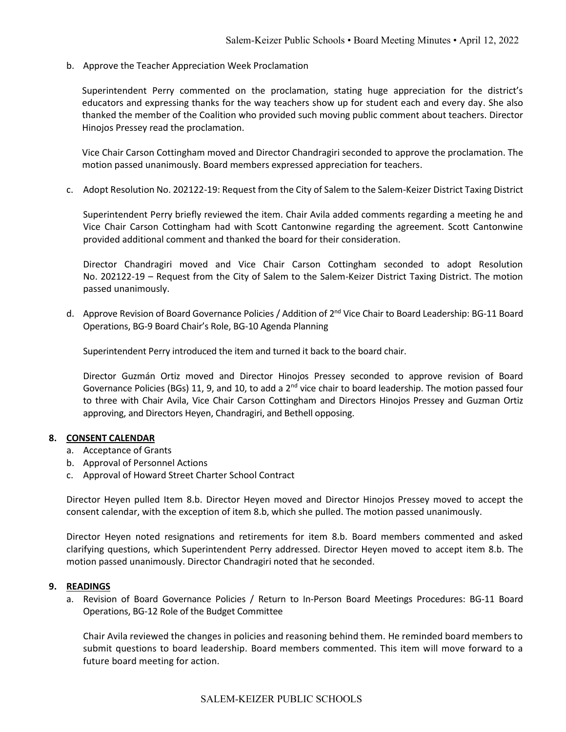b. Approve the Teacher Appreciation Week Proclamation

Superintendent Perry commented on the proclamation, stating huge appreciation for the district's educators and expressing thanks for the way teachers show up for student each and every day. She also thanked the member of the Coalition who provided such moving public comment about teachers. Director Hinojos Pressey read the proclamation.

Vice Chair Carson Cottingham moved and Director Chandragiri seconded to approve the proclamation. The motion passed unanimously. Board members expressed appreciation for teachers.

c. Adopt Resolution No. 202122-19: Request from the City of Salem to the Salem-Keizer District Taxing District

Superintendent Perry briefly reviewed the item. Chair Avila added comments regarding a meeting he and Vice Chair Carson Cottingham had with Scott Cantonwine regarding the agreement. Scott Cantonwine provided additional comment and thanked the board for their consideration.

Director Chandragiri moved and Vice Chair Carson Cottingham seconded to adopt Resolution No. 202122-19 – Request from the City of Salem to the Salem-Keizer District Taxing District. The motion passed unanimously.

d. Approve Revision of Board Governance Policies / Addition of 2<sup>nd</sup> Vice Chair to Board Leadership: BG-11 Board Operations, BG-9 Board Chair's Role, BG-10 Agenda Planning

Superintendent Perry introduced the item and turned it back to the board chair.

Director Guzmán Ortiz moved and Director Hinojos Pressey seconded to approve revision of Board Governance Policies (BGs) 11, 9, and 10, to add a  $2<sup>nd</sup>$  vice chair to board leadership. The motion passed four to three with Chair Avila, Vice Chair Carson Cottingham and Directors Hinojos Pressey and Guzman Ortiz approving, and Directors Heyen, Chandragiri, and Bethell opposing.

#### **8. CONSENT CALENDAR**

- a. Acceptance of Grants
- b. Approval of Personnel Actions
- c. Approval of Howard Street Charter School Contract

Director Heyen pulled Item 8.b. Director Heyen moved and Director Hinojos Pressey moved to accept the consent calendar, with the exception of item 8.b, which she pulled. The motion passed unanimously.

Director Heyen noted resignations and retirements for item 8.b. Board members commented and asked clarifying questions, which Superintendent Perry addressed. Director Heyen moved to accept item 8.b. The motion passed unanimously. Director Chandragiri noted that he seconded.

#### **9. READINGS**

a. Revision of Board Governance Policies / Return to In-Person Board Meetings Procedures: BG-11 Board Operations, BG-12 Role of the Budget Committee

Chair Avila reviewed the changes in policies and reasoning behind them. He reminded board members to submit questions to board leadership. Board members commented. This item will move forward to a future board meeting for action.